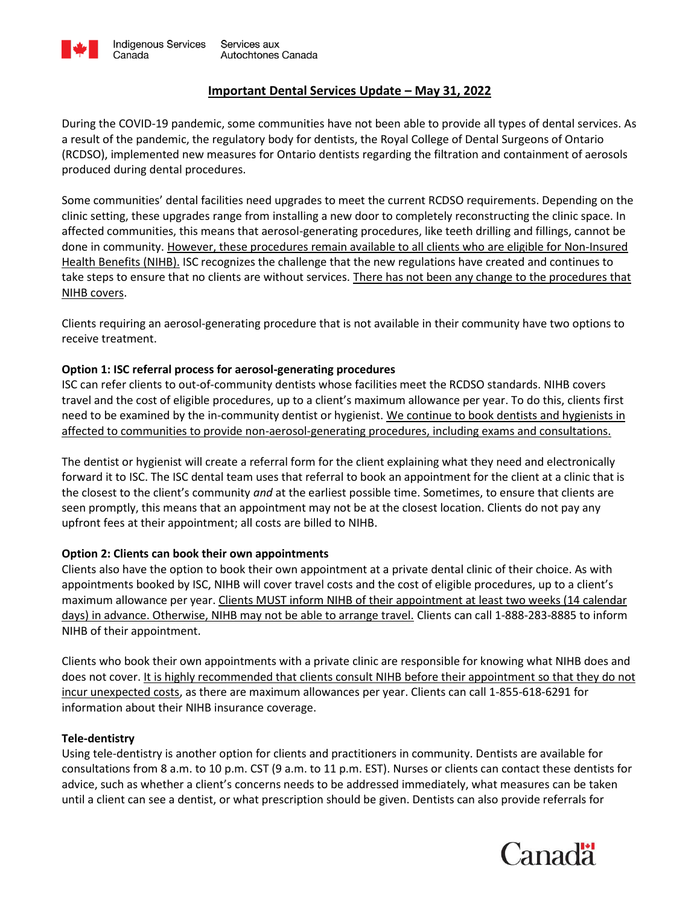

# **Important Dental Services Update – May 31, 2022**

During the COVID-19 pandemic, some communities have not been able to provide all types of dental services. As a result of the pandemic, the regulatory body for dentists, the Royal College of Dental Surgeons of Ontario (RCDSO), implemented new measures for Ontario dentists regarding the filtration and containment of aerosols produced during dental procedures.

Some communities' dental facilities need upgrades to meet the current RCDSO requirements. Depending on the clinic setting, these upgrades range from installing a new door to completely reconstructing the clinic space. In affected communities, this means that aerosol-generating procedures, like teeth drilling and fillings, cannot be done in community. However, these procedures remain available to all clients who are eligible for Non-Insured Health Benefits (NIHB). ISC recognizes the challenge that the new regulations have created and continues to take steps to ensure that no clients are without services. There has not been any change to the procedures that NIHB covers.

Clients requiring an aerosol-generating procedure that is not available in their community have two options to receive treatment.

## **Option 1: ISC referral process for aerosol-generating procedures**

ISC can refer clients to out-of-community dentists whose facilities meet the RCDSO standards. NIHB covers travel and the cost of eligible procedures, up to a client's maximum allowance per year. To do this, clients first need to be examined by the in-community dentist or hygienist. We continue to book dentists and hygienists in affected to communities to provide non-aerosol-generating procedures, including exams and consultations.

The dentist or hygienist will create a referral form for the client explaining what they need and electronically forward it to ISC. The ISC dental team uses that referral to book an appointment for the client at a clinic that is the closest to the client's community *and* at the earliest possible time. Sometimes, to ensure that clients are seen promptly, this means that an appointment may not be at the closest location. Clients do not pay any upfront fees at their appointment; all costs are billed to NIHB.

### **Option 2: Clients can book their own appointments**

Clients also have the option to book their own appointment at a private dental clinic of their choice. As with appointments booked by ISC, NIHB will cover travel costs and the cost of eligible procedures, up to a client's maximum allowance per year. Clients MUST inform NIHB of their appointment at least two weeks (14 calendar days) in advance. Otherwise, NIHB may not be able to arrange travel. Clients can call 1-888-283-8885 to inform NIHB of their appointment.

Clients who book their own appointments with a private clinic are responsible for knowing what NIHB does and does not cover. It is highly recommended that clients consult NIHB before their appointment so that they do not incur unexpected costs, as there are maximum allowances per year. Clients can call 1-855-618-6291 for information about their NIHB insurance coverage.

### **Tele-dentistry**

Using tele-dentistry is another option for clients and practitioners in community. Dentists are available for consultations from 8 a.m. to 10 p.m. CST (9 a.m. to 11 p.m. EST). Nurses or clients can contact these dentists for advice, such as whether a client's concerns needs to be addressed immediately, what measures can be taken until a client can see a dentist, or what prescription should be given. Dentists can also provide referrals for